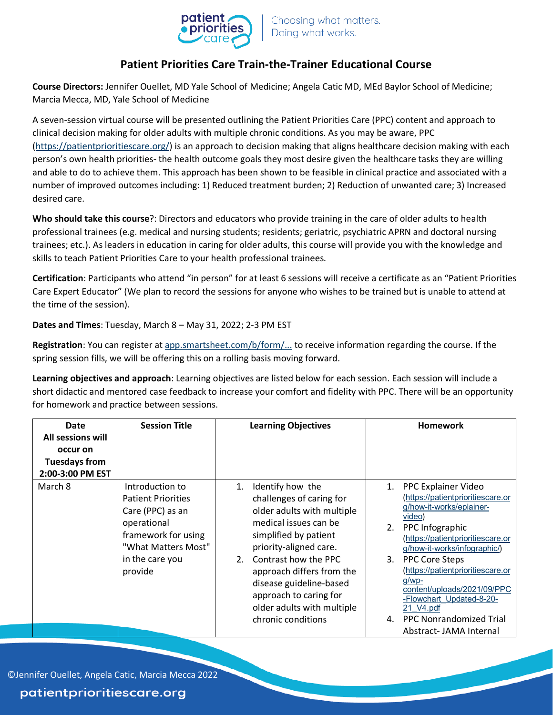

## **Patient Priorities Care Train-the-Trainer Educational Course**

**Course Directors:** Jennifer Ouellet, MD Yale School of Medicine; Angela Catic MD, MEd Baylor School of Medicine; Marcia Mecca, MD, Yale School of Medicine

A seven-session virtual course will be presented outlining the Patient Priorities Care (PPC) content and approach to clinical decision making for older adults with multiple chronic conditions. As you may be aware, PPC [\(https://patientprioritiescare.org/\)](https://gcc02.safelinks.protection.outlook.com/?url=https%3A%2F%2Fpatientprioritiescare.org%2F&data=04%7C01%7C%7Ce9e04ff31dbc41bfd3af08d9d1ed890b%7Ce95f1b23abaf45ee821db7ab251ab3bf%7C0%7C0%7C637771640427339835%7CUnknown%7CTWFpbGZsb3d8eyJWIjoiMC4wLjAwMDAiLCJQIjoiV2luMzIiLCJBTiI6Ik1haWwiLCJXVCI6Mn0%3D%7C3000&sdata=OVsXoDcbv09g%2B8WYVp9YZsxctuN%2FOmKhlSdujagnQB0%3D&reserved=0) is an approach to decision making that aligns healthcare decision making with each person's own health priorities- the health outcome goals they most desire given the healthcare tasks they are willing and able to do to achieve them. This approach has been shown to be feasible in clinical practice and associated with a number of improved outcomes including: 1) Reduced treatment burden; 2) Reduction of unwanted care; 3) Increased desired care.

**Who should take this course**?: Directors and educators who provide training in the care of older adults to health professional trainees (e.g. medical and nursing students; residents; geriatric, psychiatric APRN and doctoral nursing trainees; etc.). As leaders in education in caring for older adults, this course will provide you with the knowledge and skills to teach Patient Priorities Care to your health professional trainees.

**Certification**: Participants who attend "in person" for at least 6 sessions will receive a certificate as an "Patient Priorities Care Expert Educator" (We plan to record the sessions for anyone who wishes to be trained but is unable to attend at the time of the session).

**Dates and Times**: Tuesday, March 8 – May 31, 2022; 2-3 PM EST

**Registration**: You can register at [app.smartsheet.com/b/form/...](https://gcc02.safelinks.protection.outlook.com/?url=https%3A%2F%2Fapp.smartsheet.com%2Fb%2Fform%2F32031dd6649a446099cbf206472eb1bf&data=04%7C01%7C%7Ce9e04ff31dbc41bfd3af08d9d1ed890b%7Ce95f1b23abaf45ee821db7ab251ab3bf%7C0%7C0%7C637771640427339835%7CUnknown%7CTWFpbGZsb3d8eyJWIjoiMC4wLjAwMDAiLCJQIjoiV2luMzIiLCJBTiI6Ik1haWwiLCJXVCI6Mn0%3D%7C3000&sdata=rDjm4qnARIBy9%2F4MuLIP%2BTRYffZSg588iZU1NukM%2FO8%3D&reserved=0) to receive information regarding the course. If the spring session fills, we will be offering this on a rolling basis moving forward.

**Learning objectives and approach**: Learning objectives are listed below for each session. Each session will include a short didactic and mentored case feedback to increase your comfort and fidelity with PPC. There will be an opportunity for homework and practice between sessions.

| Date<br>All sessions will<br>occur on<br><b>Tuesdays from</b><br>2:00-3:00 PM EST | <b>Session Title</b>                                                                                                                                        | <b>Learning Objectives</b>                                                                                                                                                                                                                                                                                                    | <b>Homework</b>                                                                                                                                                                                                                                                                                                                                                                                      |
|-----------------------------------------------------------------------------------|-------------------------------------------------------------------------------------------------------------------------------------------------------------|-------------------------------------------------------------------------------------------------------------------------------------------------------------------------------------------------------------------------------------------------------------------------------------------------------------------------------|------------------------------------------------------------------------------------------------------------------------------------------------------------------------------------------------------------------------------------------------------------------------------------------------------------------------------------------------------------------------------------------------------|
| March 8                                                                           | Introduction to<br><b>Patient Priorities</b><br>Care (PPC) as an<br>operational<br>framework for using<br>"What Matters Most"<br>in the care you<br>provide | Identify how the<br>1.<br>challenges of caring for<br>older adults with multiple<br>medical issues can be<br>simplified by patient<br>priority-aligned care.<br>2. Contrast how the PPC<br>approach differs from the<br>disease guideline-based<br>approach to caring for<br>older adults with multiple<br>chronic conditions | 1. PPC Explainer Video<br>(https://patientprioritiescare.or<br>g/how-it-works/eplainer-<br>video)<br>2.<br>PPC Infographic<br>(https://patientprioritiescare.or<br>g/how-it-works/infographic/)<br>3. PPC Core Steps<br>(https://patientprioritiescare.or<br>$q/wp-$<br>content/uploads/2021/09/PPC<br>-Flowchart Updated-8-20-<br>21 V4.pdf<br>4. PPC Nonrandomized Trial<br>Abstract-JAMA Internal |

©Jennifer Ouellet, Angela Catic, Marcia Mecca 2022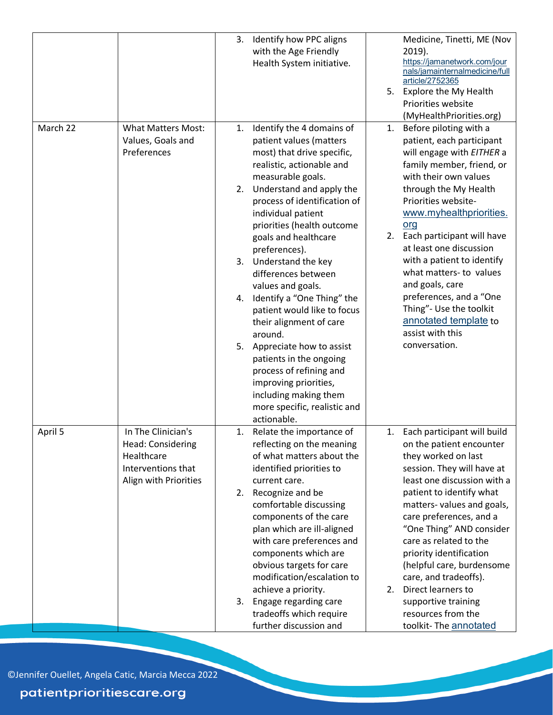|          |                                                                                                      | Identify how PPC aligns<br>3.<br>with the Age Friendly<br>Health System initiative.                                                                                                                                                                                                                                                                                                                                                                                                                                                                                                                                                                                        | Medicine, Tinetti, ME (Nov<br>2019).<br>https://jamanetwork.com/jour<br>nals/jamainternalmedicine/full<br>article/2752365<br>5. Explore the My Health<br>Priorities website<br>(MyHealthPriorities.org)                                                                                                                                                                                                                                                                                       |
|----------|------------------------------------------------------------------------------------------------------|----------------------------------------------------------------------------------------------------------------------------------------------------------------------------------------------------------------------------------------------------------------------------------------------------------------------------------------------------------------------------------------------------------------------------------------------------------------------------------------------------------------------------------------------------------------------------------------------------------------------------------------------------------------------------|-----------------------------------------------------------------------------------------------------------------------------------------------------------------------------------------------------------------------------------------------------------------------------------------------------------------------------------------------------------------------------------------------------------------------------------------------------------------------------------------------|
| March 22 | <b>What Matters Most:</b><br>Values, Goals and<br>Preferences                                        | Identify the 4 domains of<br>1.<br>patient values (matters<br>most) that drive specific,<br>realistic, actionable and<br>measurable goals.<br>2. Understand and apply the<br>process of identification of<br>individual patient<br>priorities (health outcome<br>goals and healthcare<br>preferences).<br>3. Understand the key<br>differences between<br>values and goals.<br>Identify a "One Thing" the<br>4.<br>patient would like to focus<br>their alignment of care<br>around.<br>5. Appreciate how to assist<br>patients in the ongoing<br>process of refining and<br>improving priorities,<br>including making them<br>more specific, realistic and<br>actionable. | Before piloting with a<br>1.<br>patient, each participant<br>will engage with EITHER a<br>family member, friend, or<br>with their own values<br>through the My Health<br>Priorities website-<br>www.myhealthpriorities.<br>org<br>Each participant will have<br>2.<br>at least one discussion<br>with a patient to identify<br>what matters- to values<br>and goals, care<br>preferences, and a "One<br>Thing"- Use the toolkit<br>annotated template to<br>assist with this<br>conversation. |
| April 5  | In The Clinician's<br>Head: Considering<br>Healthcare<br>Interventions that<br>Align with Priorities | 1. Relate the importance of<br>reflecting on the meaning<br>of what matters about the<br>identified priorities to<br>current care.<br>Recognize and be<br>2.<br>comfortable discussing<br>components of the care<br>plan which are ill-aligned<br>with care preferences and<br>components which are<br>obvious targets for care<br>modification/escalation to<br>achieve a priority.<br>Engage regarding care<br>3.<br>tradeoffs which require<br>further discussion and                                                                                                                                                                                                   | 1. Each participant will build<br>on the patient encounter<br>they worked on last<br>session. They will have at<br>least one discussion with a<br>patient to identify what<br>matters-values and goals,<br>care preferences, and a<br>"One Thing" AND consider<br>care as related to the<br>priority identification<br>(helpful care, burdensome<br>care, and tradeoffs).<br>Direct learners to<br>2.<br>supportive training<br>resources from the<br>toolkit-The annotated                   |

©Jennifer Ouellet, Angela Catic, Marcia Mecca 2022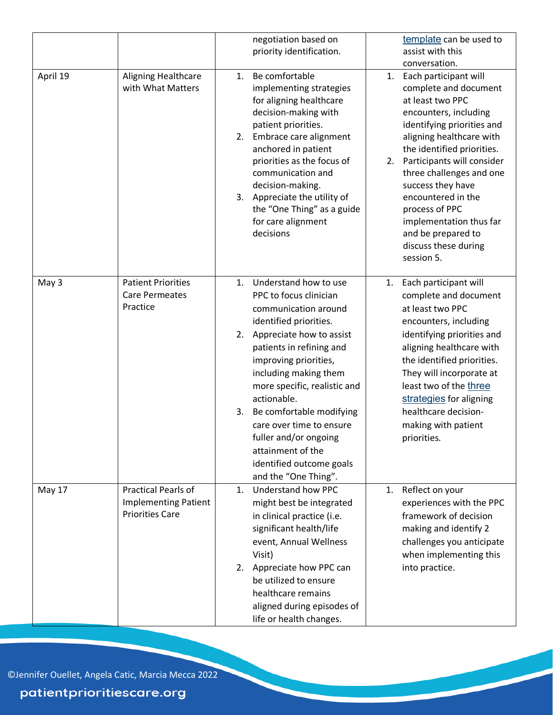| April 19 | Aligning Healthcare                                                          | negotiation based on<br>priority identification.<br>Be comfortable<br>1.                                                                                                                                                                                                                                                                                                                                                               | template can be used to<br>assist with this<br>conversation.<br>Each participant will<br>1.                                                                                                                                                                                                                                                                                    |
|----------|------------------------------------------------------------------------------|----------------------------------------------------------------------------------------------------------------------------------------------------------------------------------------------------------------------------------------------------------------------------------------------------------------------------------------------------------------------------------------------------------------------------------------|--------------------------------------------------------------------------------------------------------------------------------------------------------------------------------------------------------------------------------------------------------------------------------------------------------------------------------------------------------------------------------|
|          | with What Matters                                                            | implementing strategies<br>for aligning healthcare<br>decision-making with<br>patient priorities.<br>Embrace care alignment<br>2.<br>anchored in patient<br>priorities as the focus of<br>communication and<br>decision-making.<br>Appreciate the utility of<br>3.<br>the "One Thing" as a guide<br>for care alignment<br>decisions                                                                                                    | complete and document<br>at least two PPC<br>encounters, including<br>identifying priorities and<br>aligning healthcare with<br>the identified priorities.<br>Participants will consider<br>2.<br>three challenges and one<br>success they have<br>encountered in the<br>process of PPC<br>implementation thus far<br>and be prepared to<br>discuss these during<br>session 5. |
| May 3    | <b>Patient Priorities</b><br><b>Care Permeates</b><br>Practice               | Understand how to use<br>1.<br>PPC to focus clinician<br>communication around<br>identified priorities.<br>Appreciate how to assist<br>2.<br>patients in refining and<br>improving priorities,<br>including making them<br>more specific, realistic and<br>actionable.<br>Be comfortable modifying<br>3.<br>care over time to ensure<br>fuller and/or ongoing<br>attainment of the<br>identified outcome goals<br>and the "One Thing". | Each participant will<br>1.<br>complete and document<br>at least two PPC<br>encounters, including<br>identifying priorities and<br>aligning healthcare with<br>the identified priorities.<br>They will incorporate at<br>least two of the three<br>strategies for aligning<br>healthcare decision-<br>making with patient<br>priorities.                                       |
| May 17   | Practical Pearls of<br><b>Implementing Patient</b><br><b>Priorities Care</b> | 1. Understand how PPC<br>might best be integrated<br>in clinical practice (i.e.<br>significant health/life<br>event, Annual Wellness<br>Visit)<br>Appreciate how PPC can<br>2.<br>be utilized to ensure<br>healthcare remains<br>aligned during episodes of<br>life or health changes.                                                                                                                                                 | 1. Reflect on your<br>experiences with the PPC<br>framework of decision<br>making and identify 2<br>challenges you anticipate<br>when implementing this<br>into practice.                                                                                                                                                                                                      |

©Jennifer Ouellet, Angela Catic, Marcia Mecca 2022